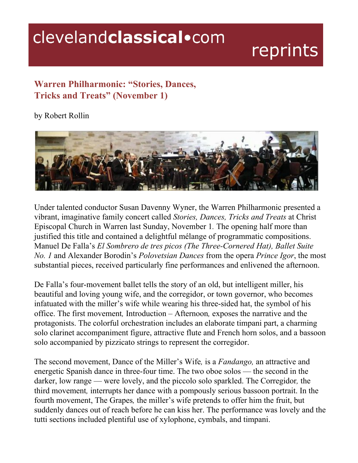## clevelandclassical.com

## reprints

## **Warren Philharmonic: "Stories, Dances, Tricks and Treats" (November 1)**

by Robert Rollin



Under talented conductor Susan Davenny Wyner, the Warren Philharmonic presented a vibrant, imaginative family concert called *Stories, Dances, Tricks and Treats* at Christ Episcopal Church in Warren last Sunday, November 1*.* The opening half more than justified this title and contained a delightful mélange of programmatic compositions. Manuel De Falla's *El Sombrero de tres picos (The ThreeCornered Hat), Ballet Suite No. 1* and Alexander Borodin's *Polovetsian Dances* from the opera *Prince Igor*, the most substantial pieces, received particularly fine performances and enlivened the afternoon.

De Falla's four-movement ballet tells the story of an old, but intelligent miller, his beautiful and loving young wife, and the corregidor, or town governor, who becomes infatuated with the miller's wife while wearing his three-sided hat, the symbol of his office. The first movement*,* Introduction – Afternoon*,* exposes the narrative and the protagonists. The colorful orchestration includes an elaborate timpani part, a charming solo clarinet accompaniment figure, attractive flute and French horn solos, and a bassoon solo accompanied by pizzicato strings to represent the corregidor.

The second movement, Dance of the Miller's Wife*,* is a *Fandango,* an attractive and energetic Spanish dance in three-four time. The two oboe solos — the second in the darker, low range — were lovely, and the piccolo solo sparkled. The Corregidor*,* the third movement*,* interrupts her dance with a pompously serious bassoon portrait. In the fourth movement, The Grapes*,* the miller's wife pretends to offer him the fruit, but suddenly dances out of reach before he can kiss her. The performance was lovely and the tutti sections included plentiful use of xylophone, cymbals, and timpani.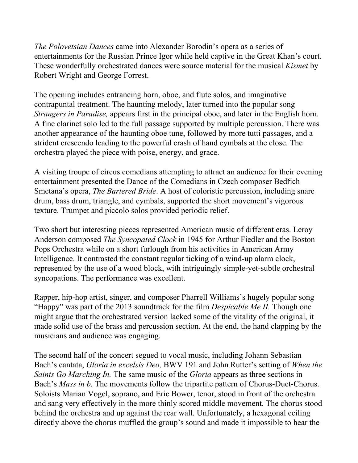*The Polovetsian Dances* came into Alexander Borodin's opera as a series of entertainments for the Russian Prince Igor while held captive in the Great Khan's court. These wonderfully orchestrated dances were source material for the musical *Kismet* by Robert Wright and George Forrest.

The opening includes entrancing horn, oboe, and flute solos, and imaginative contrapuntal treatment. The haunting melody, later turned into the popular song *Strangers in Paradise,* appears first in the principal oboe, and later in the English horn. A fine clarinet solo led to the full passage supported by multiple percussion. There was another appearance of the haunting oboe tune, followed by more tutti passages, and a strident crescendo leading to the powerful crash of hand cymbals at the close. The orchestra played the piece with poise, energy, and grace.

A visiting troupe of circus comedians attempting to attract an audience for their evening entertainment presented the Dance of the Comedians in Czech composer Bedřich Smetana's opera, *The Bartered Bride*. A host of coloristic percussion, including snare drum, bass drum, triangle, and cymbals, supported the short movement's vigorous texture. Trumpet and piccolo solos provided periodic relief.

Two short but interesting pieces represented American music of different eras. Leroy Anderson composed *The Syncopated Clock* in 1945 for Arthur Fiedler and the Boston Pops Orchestra while on a short furlough from his activities in American Army Intelligence. It contrasted the constant regular ticking of a wind-up alarm clock, represented by the use of a wood block, with intriguingly simple-yet-subtle orchestral syncopations. The performance was excellent.

Rapper, hip-hop artist, singer, and composer Pharrell Williams's hugely popular song "Happy" was part of the 2013 soundtrack for the film *Despicable Me II.* Though one might argue that the orchestrated version lacked some of the vitality of the original, it made solid use of the brass and percussion section. At the end, the hand clapping by the musicians and audience was engaging.

The second half of the concert segued to vocal music, including Johann Sebastian Bach's cantata, *Gloria in excelsis Deo,* BWV 191 and John Rutter's setting of *When the Saints Go Marching In.* The same music of the *Gloria* appears as three sections in Bach's *Mass in b*. The movements follow the tripartite pattern of Chorus-Duet-Chorus. Soloists Marian Vogel, soprano, and Eric Bower, tenor, stood in front of the orchestra and sang very effectively in the more thinly scored middle movement. The chorus stood behind the orchestra and up against the rear wall. Unfortunately, a hexagonal ceiling directly above the chorus muffled the group's sound and made it impossible to hear the